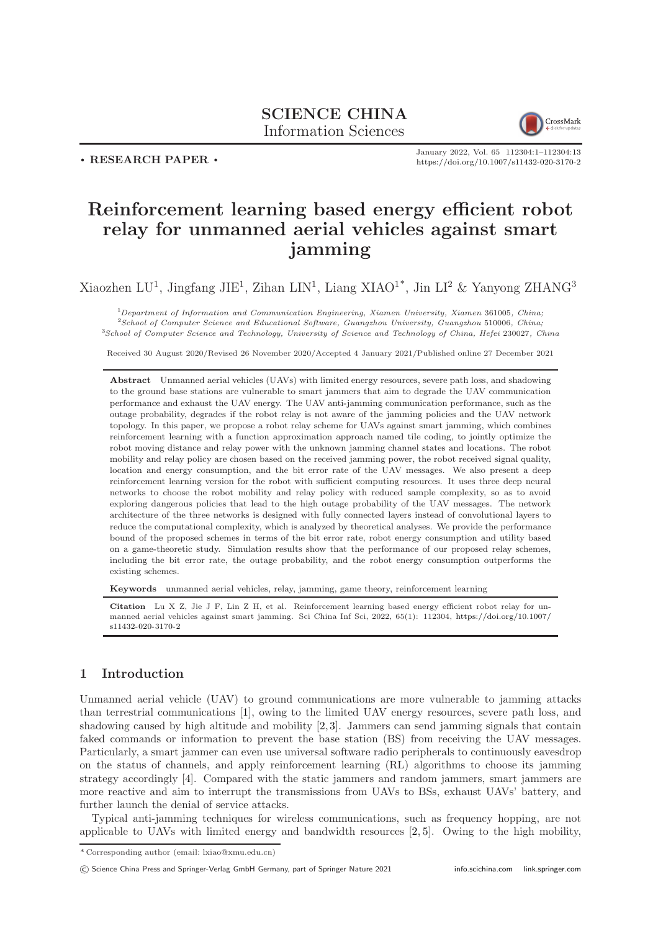# SCIENCE CHINA Information Sciences



# . RESEARCH PAPER .

January 2022, Vol. 65 112304:1–112304[:13](#page-12-0) <https://doi.org/10.1007/s11432-020-3170-2>

# Reinforcement learning based energy efficient robot relay for unmanned aerial vehicles against smart jamming

Xiaozhen LU<sup>1</sup>, Jingfang JIE<sup>1</sup>, Zihan LIN<sup>1</sup>, Liang XIAO<sup>1\*</sup>, Jin LI<sup>2</sup> & Yanyong ZHANG<sup>3</sup>

 $1$ Department of Information and Communication Engineering, Xiamen University, Xiamen 361005, China; <sup>2</sup>School of Computer Science and Educational Software, Guangzhou University, Guangzhou 510006, China; <sup>3</sup>School of Computer Science and Technology, University of Science and Technology of China, Hefei 230027, China

Received 30 August 2020/Revised 26 November 2020/Accepted 4 January 2021/Published online 27 December 2021

Abstract Unmanned aerial vehicles (UAVs) with limited energy resources, severe path loss, and shadowing to the ground base stations are vulnerable to smart jammers that aim to degrade the UAV communication performance and exhaust the UAV energy. The UAV anti-jamming communication performance, such as the outage probability, degrades if the robot relay is not aware of the jamming policies and the UAV network topology. In this paper, we propose a robot relay scheme for UAVs against smart jamming, which combines reinforcement learning with a function approximation approach named tile coding, to jointly optimize the robot moving distance and relay power with the unknown jamming channel states and locations. The robot mobility and relay policy are chosen based on the received jamming power, the robot received signal quality, location and energy consumption, and the bit error rate of the UAV messages. We also present a deep reinforcement learning version for the robot with sufficient computing resources. It uses three deep neural networks to choose the robot mobility and relay policy with reduced sample complexity, so as to avoid exploring dangerous policies that lead to the high outage probability of the UAV messages. The network architecture of the three networks is designed with fully connected layers instead of convolutional layers to reduce the computational complexity, which is analyzed by theoretical analyses. We provide the performance bound of the proposed schemes in terms of the bit error rate, robot energy consumption and utility based on a game-theoretic study. Simulation results show that the performance of our proposed relay schemes, including the bit error rate, the outage probability, and the robot energy consumption outperforms the existing schemes.

Keywords unmanned aerial vehicles, relay, jamming, game theory, reinforcement learning

Citation Lu X Z, Jie J F, Lin Z H, et al. Reinforcement learning based energy efficient robot relay for unmanned aerial vehicles against smart jamming. Sci China Inf Sci, 2022, 65(1): 112304, [https://doi.org/10.1007/](https://doi.org/10.1007/s11432-020-3170-2) [s11432-020-3170-2](https://doi.org/10.1007/s11432-020-3170-2)

# 1 Introduction

Unmanned aerial vehicle (UAV) to ground communications are more vulnerable to jamming attacks than terrestrial communications [\[1\]](#page-11-0), owing to the limited UAV energy resources, severe path loss, and shadowing caused by high altitude and mobility [\[2,](#page-12-1) [3\]](#page-12-2). Jammers can send jamming signals that contain faked commands or information to prevent the base station (BS) from receiving the UAV messages. Particularly, a smart jammer can even use universal software radio peripherals to continuously eavesdrop on the status of channels, and apply reinforcement learning (RL) algorithms to choose its jamming strategy accordingly [\[4\]](#page-12-3). Compared with the static jammers and random jammers, smart jammers are more reactive and aim to interrupt the transmissions from UAVs to BSs, exhaust UAVs' battery, and further launch the denial of service attacks.

Typical anti-jamming techniques for wireless communications, such as frequency hopping, are not applicable to UAVs with limited energy and bandwidth resources [\[2,](#page-12-1) [5\]](#page-12-4). Owing to the high mobility,

<sup>\*</sup> Corresponding author (email: lxiao@xmu.edu.cn)

<sup>©</sup> Science China Press and Springer-Verlag GmbH Germany, part of Springer Nature 2021 <info.scichina.com><link.springer.com>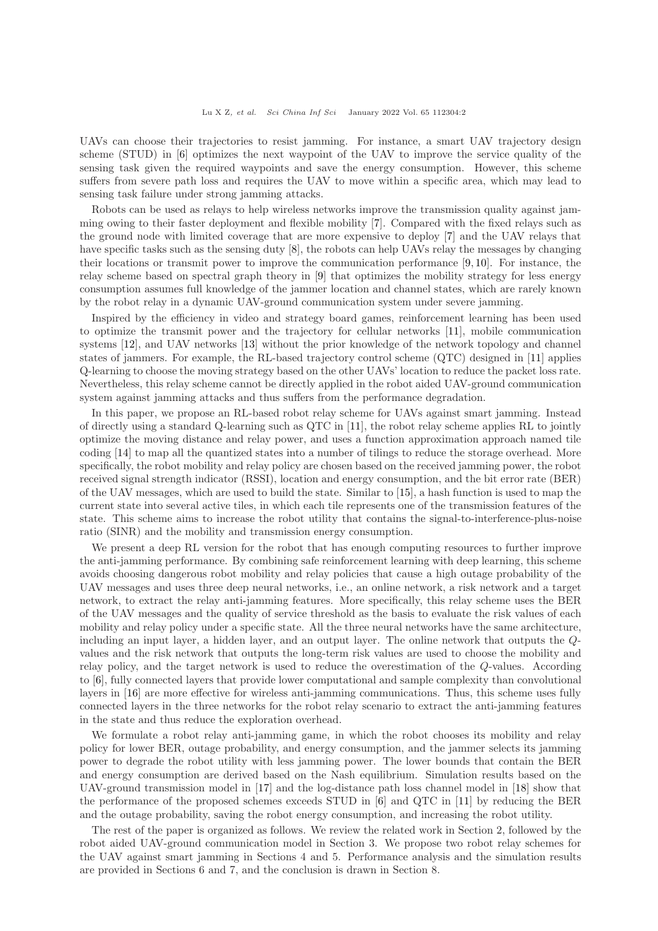UAVs can choose their trajectories to resist jamming. For instance, a smart UAV trajectory design scheme (STUD) in [\[6\]](#page-12-5) optimizes the next waypoint of the UAV to improve the service quality of the sensing task given the required waypoints and save the energy consumption. However, this scheme suffers from severe path loss and requires the UAV to move within a specific area, which may lead to sensing task failure under strong jamming attacks.

Robots can be used as relays to help wireless networks improve the transmission quality against jamming owing to their faster deployment and flexible mobility [\[7\]](#page-12-6). Compared with the fixed relays such as the ground node with limited coverage that are more expensive to deploy [\[7\]](#page-12-6) and the UAV relays that have specific tasks such as the sensing duty [\[8\]](#page-12-7), the robots can help UAVs relay the messages by changing their locations or transmit power to improve the communication performance [\[9,](#page-12-8) [10\]](#page-12-9). For instance, the relay scheme based on spectral graph theory in [\[9\]](#page-12-8) that optimizes the mobility strategy for less energy consumption assumes full knowledge of the jammer location and channel states, which are rarely known by the robot relay in a dynamic UAV-ground communication system under severe jamming.

Inspired by the efficiency in video and strategy board games, reinforcement learning has been used to optimize the transmit power and the trajectory for cellular networks [\[11\]](#page-12-10), mobile communication systems [\[12\]](#page-12-11), and UAV networks [\[13\]](#page-12-12) without the prior knowledge of the network topology and channel states of jammers. For example, the RL-based trajectory control scheme (QTC) designed in [\[11\]](#page-12-10) applies Q-learning to choose the moving strategy based on the other UAVs' location to reduce the packet loss rate. Nevertheless, this relay scheme cannot be directly applied in the robot aided UAV-ground communication system against jamming attacks and thus suffers from the performance degradation.

In this paper, we propose an RL-based robot relay scheme for UAVs against smart jamming. Instead of directly using a standard Q-learning such as QTC in [\[11\]](#page-12-10), the robot relay scheme applies RL to jointly optimize the moving distance and relay power, and uses a function approximation approach named tile coding [\[14\]](#page-12-13) to map all the quantized states into a number of tilings to reduce the storage overhead. More specifically, the robot mobility and relay policy are chosen based on the received jamming power, the robot received signal strength indicator (RSSI), location and energy consumption, and the bit error rate (BER) of the UAV messages, which are used to build the state. Similar to [\[15\]](#page-12-14), a hash function is used to map the current state into several active tiles, in which each tile represents one of the transmission features of the state. This scheme aims to increase the robot utility that contains the signal-to-interference-plus-noise ratio (SINR) and the mobility and transmission energy consumption.

We present a deep RL version for the robot that has enough computing resources to further improve the anti-jamming performance. By combining safe reinforcement learning with deep learning, this scheme avoids choosing dangerous robot mobility and relay policies that cause a high outage probability of the UAV messages and uses three deep neural networks, i.e., an online network, a risk network and a target network, to extract the relay anti-jamming features. More specifically, this relay scheme uses the BER of the UAV messages and the quality of service threshold as the basis to evaluate the risk values of each mobility and relay policy under a specific state. All the three neural networks have the same architecture, including an input layer, a hidden layer, and an output layer. The online network that outputs the Qvalues and the risk network that outputs the long-term risk values are used to choose the mobility and relay policy, and the target network is used to reduce the overestimation of the Q-values. According to [\[6\]](#page-12-5), fully connected layers that provide lower computational and sample complexity than convolutional layers in [\[16\]](#page-12-15) are more effective for wireless anti-jamming communications. Thus, this scheme uses fully connected layers in the three networks for the robot relay scenario to extract the anti-jamming features in the state and thus reduce the exploration overhead.

We formulate a robot relay anti-jamming game, in which the robot chooses its mobility and relay policy for lower BER, outage probability, and energy consumption, and the jammer selects its jamming power to degrade the robot utility with less jamming power. The lower bounds that contain the BER and energy consumption are derived based on the Nash equilibrium. Simulation results based on the UAV-ground transmission model in [\[17\]](#page-12-16) and the log-distance path loss channel model in [\[18\]](#page-12-17) show that the performance of the proposed schemes exceeds STUD in [\[6\]](#page-12-5) and QTC in [\[11\]](#page-12-10) by reducing the BER and the outage probability, saving the robot energy consumption, and increasing the robot utility.

The rest of the paper is organized as follows. We review the related work in Section 2, followed by the robot aided UAV-ground communication model in Section 3. We propose two robot relay schemes for the UAV against smart jamming in Sections 4 and 5. Performance analysis and the simulation results are provided in Sections 6 and 7, and the conclusion is drawn in Section 8.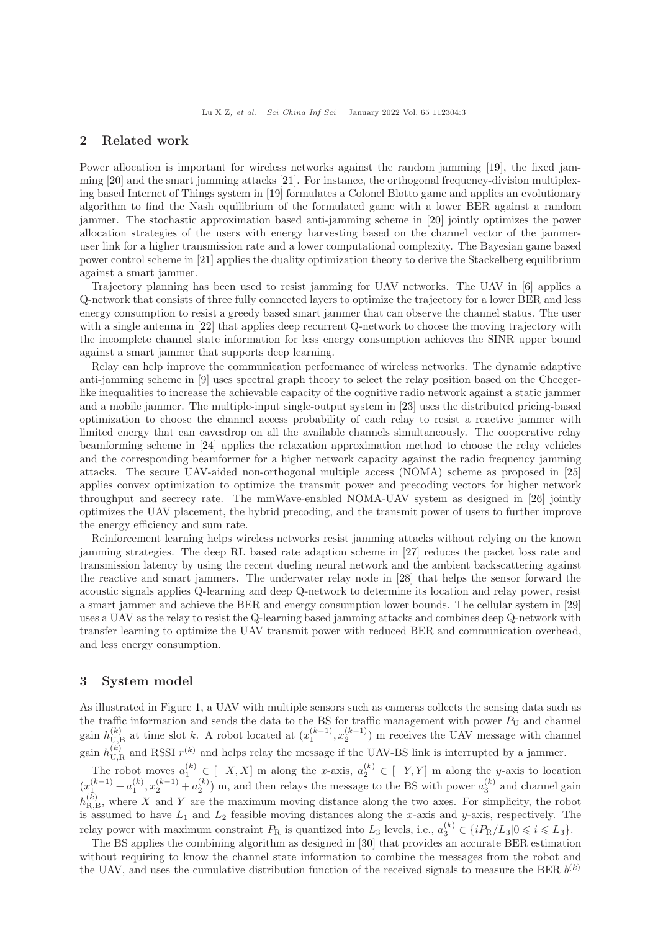### 2 Related work

Power allocation is important for wireless networks against the random jamming [\[19\]](#page-12-18), the fixed jamming [\[20\]](#page-12-19) and the smart jamming attacks [\[21\]](#page-12-20). For instance, the orthogonal frequency-division multiplexing based Internet of Things system in [\[19\]](#page-12-18) formulates a Colonel Blotto game and applies an evolutionary algorithm to find the Nash equilibrium of the formulated game with a lower BER against a random jammer. The stochastic approximation based anti-jamming scheme in [\[20\]](#page-12-19) jointly optimizes the power allocation strategies of the users with energy harvesting based on the channel vector of the jammeruser link for a higher transmission rate and a lower computational complexity. The Bayesian game based power control scheme in [\[21\]](#page-12-20) applies the duality optimization theory to derive the Stackelberg equilibrium against a smart jammer.

Trajectory planning has been used to resist jamming for UAV networks. The UAV in [\[6\]](#page-12-5) applies a Q-network that consists of three fully connected layers to optimize the trajectory for a lower BER and less energy consumption to resist a greedy based smart jammer that can observe the channel status. The user with a single antenna in [\[22\]](#page-12-21) that applies deep recurrent Q-network to choose the moving trajectory with the incomplete channel state information for less energy consumption achieves the SINR upper bound against a smart jammer that supports deep learning.

Relay can help improve the communication performance of wireless networks. The dynamic adaptive anti-jamming scheme in [\[9\]](#page-12-8) uses spectral graph theory to select the relay position based on the Cheegerlike inequalities to increase the achievable capacity of the cognitive radio network against a static jammer and a mobile jammer. The multiple-input single-output system in [\[23\]](#page-12-22) uses the distributed pricing-based optimization to choose the channel access probability of each relay to resist a reactive jammer with limited energy that can eavesdrop on all the available channels simultaneously. The cooperative relay beamforming scheme in [\[24\]](#page-12-23) applies the relaxation approximation method to choose the relay vehicles and the corresponding beamformer for a higher network capacity against the radio frequency jamming attacks. The secure UAV-aided non-orthogonal multiple access (NOMA) scheme as proposed in [\[25\]](#page-12-24) applies convex optimization to optimize the transmit power and precoding vectors for higher network throughput and secrecy rate. The mmWave-enabled NOMA-UAV system as designed in [\[26\]](#page-12-25) jointly optimizes the UAV placement, the hybrid precoding, and the transmit power of users to further improve the energy efficiency and sum rate.

Reinforcement learning helps wireless networks resist jamming attacks without relying on the known jamming strategies. The deep RL based rate adaption scheme in [\[27\]](#page-12-26) reduces the packet loss rate and transmission latency by using the recent dueling neural network and the ambient backscattering against the reactive and smart jammers. The underwater relay node in [\[28\]](#page-12-27) that helps the sensor forward the acoustic signals applies Q-learning and deep Q-network to determine its location and relay power, resist a smart jammer and achieve the BER and energy consumption lower bounds. The cellular system in [\[29\]](#page-12-28) uses a UAV as the relay to resist the Q-learning based jamming attacks and combines deep Q-network with transfer learning to optimize the UAV transmit power with reduced BER and communication overhead, and less energy consumption.

### 3 System model

As illustrated in Figure [1,](#page-3-0) a UAV with multiple sensors such as cameras collects the sensing data such as the traffic information and sends the data to the BS for traffic management with power  $P_U$  and channel gain  $h_{\text{U},\text{B}}^{(k)}$  at time slot k. A robot located at  $(x_1^{(k-1)}, x_2^{(k-1)})$  m receives the UAV message with channel gain  $h_{\text{U},\text{R}}^{(k)}$  and RSSI  $r^{(k)}$  and helps relay the message if the UAV-BS link is interrupted by a jammer.

The robot moves  $a_1^{(k)} \in [-X, X]$  m along the x-axis,  $a_2^{(k)} \in [-Y, Y]$  m along the y-axis to location  $(x_1^{(k-1)} + a_1^{(k)}, x_2^{(k-1)} + a_2^{(k)})$  m, and then relays the message to the BS with power  $a_3^{(k)}$  and channel gain  $h_{\text{R},\text{B}}^{(k)}$ , where X and Y are the maximum moving distance along the two axes. For simplicity, the robot is assumed to have  $L_1$  and  $L_2$  feasible moving distances along the x-axis and y-axis, respectively. The relay power with maximum constraint  $P_R$  is quantized into  $L_3$  levels, i.e.,  $a_3^{(k)} \in \{iP_R/L_3 | 0 \leqslant i \leqslant L_3\}.$ 

The BS applies the combining algorithm as designed in [\[30\]](#page-12-29) that provides an accurate BER estimation without requiring to know the channel state information to combine the messages from the robot and the UAV, and uses the cumulative distribution function of the received signals to measure the BER  $b^{(k)}$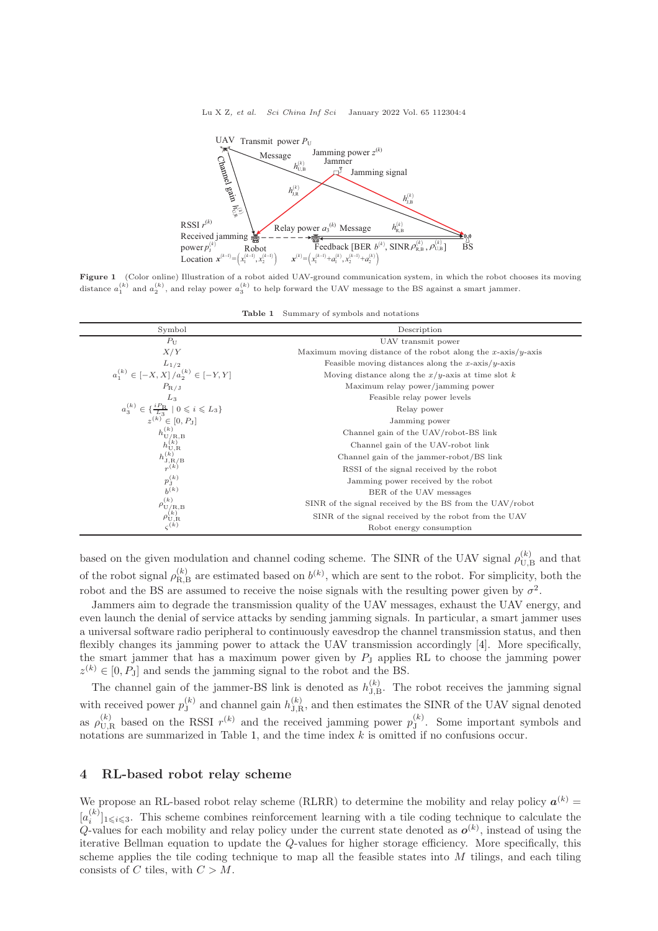<span id="page-3-0"></span>

<span id="page-3-1"></span>Figure 1 (Color online) Illustration of a robot aided UAV-ground communication system, in which the robot chooses its moving distance  $a_1^{(k)}$  and  $a_2^{(k)}$ , and relay power  $a_3^{(k)}$  to help forward the UAV message to the BS against a smart jammer.

|  | Table 1 Summary of symbols and notations |  |  |  |  |
|--|------------------------------------------|--|--|--|--|
|--|------------------------------------------|--|--|--|--|

| Symbol                                                                                                                                         | Description                                                  |  |  |
|------------------------------------------------------------------------------------------------------------------------------------------------|--------------------------------------------------------------|--|--|
| $P_{\mathrm{U}}$                                                                                                                               | UAV transmit power                                           |  |  |
| X/Y                                                                                                                                            | Maximum moving distance of the robot along the x-axis/y-axis |  |  |
|                                                                                                                                                | Feasible moving distances along the x-axis/y-axis            |  |  |
| $\label{eq:2} \begin{array}{c} L_{1/2} \\ a_1^{(k)} \in \left[ -X,X \right]/a_2^{(k)} \in \left[ -Y,Y \right] \end{array}$                     | Moving distance along the $x/y$ -axis at time slot k         |  |  |
| $P_{\rm R/J}$                                                                                                                                  | Maximum relay power/jamming power                            |  |  |
| $L_3$                                                                                                                                          | Feasible relay power levels                                  |  |  |
| $\begin{array}{c} a_3^{(k)} \in \{ \frac{i P_{\text{R}}}{L_3} \mid 0 \leqslant i \leqslant L_3 \} \\ z^{(k)} \in [0,P_{\text{J}}] \end{array}$ | Relay power                                                  |  |  |
|                                                                                                                                                | Jamming power                                                |  |  |
| $\begin{array}{c} h_{\rm U/R,B}^{(k)} \\ h_{\rm U,R}^{(k)} \\ h_{\rm J,R/B}^{(k)} \\ r^{(k)} \end{array}$                                      | Channel gain of the UAV/robot-BS link                        |  |  |
|                                                                                                                                                | Channel gain of the UAV-robot link                           |  |  |
|                                                                                                                                                | Channel gain of the jammer-robot/BS link                     |  |  |
|                                                                                                                                                | RSSI of the signal received by the robot                     |  |  |
| $p_{\rm J}^{(k)}$                                                                                                                              | Jamming power received by the robot                          |  |  |
| $b^{(k)}$                                                                                                                                      | BER of the UAV messages                                      |  |  |
| $\rho_{\mathcal{U}/\mathcal{R},\mathcal{B}}^{(k)}$                                                                                             | SINR of the signal received by the BS from the UAV/robot     |  |  |
| $\rho_{\mathrm{U},\mathrm{R}}^{(k)}$                                                                                                           | SINR of the signal received by the robot from the UAV        |  |  |
|                                                                                                                                                | Robot energy consumption                                     |  |  |

based on the given modulation and channel coding scheme. The SINR of the UAV signal  $\rho_{\text{U},\text{B}}^{(k)}$  and that of the robot signal  $\rho_{\text{R},\text{B}}^{(k)}$  are estimated based on  $b^{(k)}$ , which are sent to the robot. For simplicity, both the robot and the BS are assumed to receive the noise signals with the resulting power given by  $\sigma^2$ .

Jammers aim to degrade the transmission quality of the UAV messages, exhaust the UAV energy, and even launch the denial of service attacks by sending jamming signals. In particular, a smart jammer uses a universal software radio peripheral to continuously eavesdrop the channel transmission status, and then flexibly changes its jamming power to attack the UAV transmission accordingly [\[4\]](#page-12-3). More specifically, the smart jammer that has a maximum power given by  $P<sub>J</sub>$  applies RL to choose the jamming power  $z^{(k)} \in [0, P<sub>J</sub>]$  and sends the jamming signal to the robot and the BS.

The channel gain of the jammer-BS link is denoted as  $h_{J,B}^{(k)}$ . The robot receives the jamming signal with received power  $p_{J}^{(k)}$  $J_J^{(k)}$  and channel gain  $h_{J,R}^{(k)}$ , and then estimates the SINR of the UAV signal denoted as  $\rho_{\text{U},\text{R}}^{(k)}$  based on the RSSI  $r^{(k)}$  and the received jamming power  $p_{\text{J}}^{(k)}$  $J^{(k)}$ . Some important symbols and notations are summarized in Table [1,](#page-3-1) and the time index k is omitted if no confusions occur.

## 4 RL-based robot relay scheme

We propose an RL-based robot relay scheme (RLRR) to determine the mobility and relay policy  $a^{(k)}$  =  $[a_i^{(k)}]$  $\binom{k}{i}$ <sub>1 $\leq i \leq 3$ </sub>. This scheme combines reinforcement learning with a tile coding technique to calculate the Q-values for each mobility and relay policy under the current state denoted as  $o^{(k)}$ , instead of using the iterative Bellman equation to update the Q-values for higher storage efficiency. More specifically, this scheme applies the tile coding technique to map all the feasible states into  $M$  tilings, and each tiling consists of C tiles, with  $C > M$ .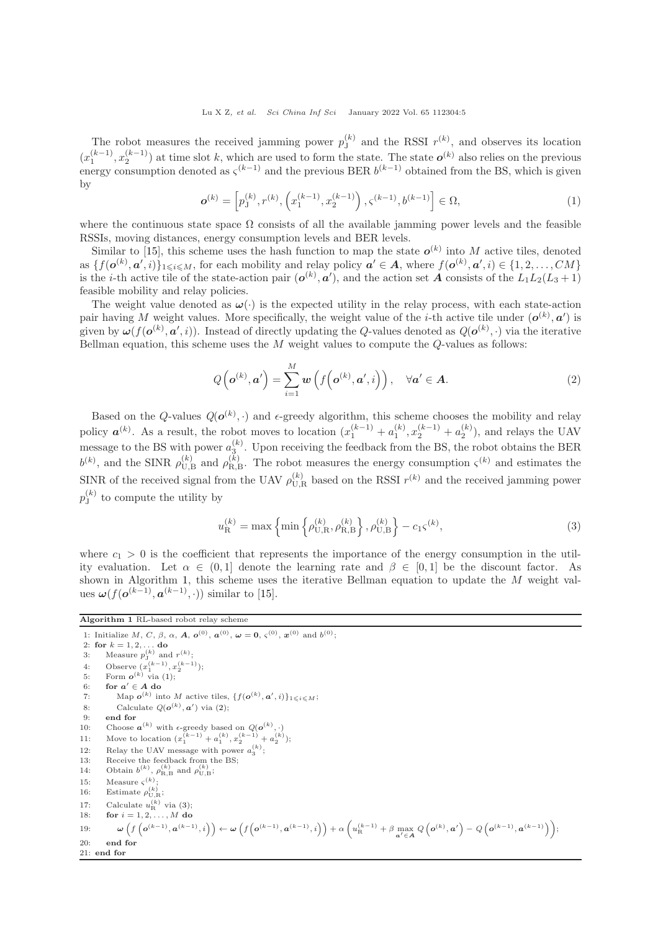The robot measures the received jamming power  $p_{J}^{(k)}$  $J_J^{(k)}$  and the RSSI  $r^{(k)}$ , and observes its location  $(x_1^{(k-1)}, x_2^{(k-1)})$  at time slot k, which are used to form the state. The state  $o^{(k)}$  also relies on the previous energy consumption denoted as  $\zeta^{(k-1)}$  and the previous BER  $b^{(k-1)}$  obtained from the BS, which is given by

<span id="page-4-1"></span>
$$
\boldsymbol{o}^{(k)} = \left[ p_{{\mathbf{j}}}^{(k)}, r^{(k)}, \left( x_1^{(k-1)}, x_2^{(k-1)} \right), \varsigma^{(k-1)}, b^{(k-1)} \right] \in \Omega,\tag{1}
$$

where the continuous state space  $\Omega$  consists of all the available jamming power levels and the feasible RSSIs, moving distances, energy consumption levels and BER levels.

Similar to [\[15\]](#page-12-14), this scheme uses the hash function to map the state  $o^{(k)}$  into M active tiles, denoted as  $\{f(\boldsymbol{o}^{(k)}, \boldsymbol{a}', i)\}_{1 \leqslant i \leqslant M}$ , for each mobility and relay policy  $\boldsymbol{a}' \in A$ , where  $f(\boldsymbol{o}^{(k)}, \boldsymbol{a}', i) \in \{1, 2, ..., CM\}$ is the *i*-th active tile of the state-action pair  $(o^{(k)}, a')$ , and the action set A consists of the  $L_1L_2(L_3 + 1)$ feasible mobility and relay policies.

The weight value denoted as  $\omega(\cdot)$  is the expected utility in the relay process, with each state-action pair having M weight values. More specifically, the weight value of the *i*-th active tile under  $(o^{(k)}, a')$  is given by  $\omega(f(\boldsymbol{o}^{(k)}, \boldsymbol{a}', i))$ . Instead of directly updating the Q-values denoted as  $Q(\boldsymbol{o}^{(k)}, \cdot)$  via the iterative Bellman equation, this scheme uses the  $M$  weight values to compute the  $Q$ -values as follows:

<span id="page-4-2"></span>
$$
Q\left(\boldsymbol{o}^{(k)}, \boldsymbol{a}'\right) = \sum_{i=1}^{M} \boldsymbol{w}\left(f\left(\boldsymbol{o}^{(k)}, \boldsymbol{a}', i\right)\right), \quad \forall \boldsymbol{a}' \in \boldsymbol{A}.\tag{2}
$$

Based on the Q-values  $Q(\boldsymbol{o}^{(k)},\cdot)$  and  $\epsilon$ -greedy algorithm, this scheme chooses the mobility and relay policy  $a^{(k)}$ . As a result, the robot moves to location  $(x_1^{(k-1)} + a_1^{(k)}, x_2^{(k-1)} + a_2^{(k)}$ , and relays the UAV message to the BS with power  $a_3^{(k)}$ . Upon receiving the feedback from the BS, the robot obtains the BER  $b^{(k)}$ , and the SINR  $\rho_{U,B}^{(k)}$  and  $\rho_{R,B}^{(k)}$ . The robot measures the energy consumption  $\zeta^{(k)}$  and estimates the SINR of the received signal from the UAV  $\rho_{\text{U,R}}^{(k)}$  based on the RSSI  $r^{(k)}$  and the received jamming power  $p_{\rm J}^{(k)}$  $J_J^{(k)}$  to compute the utility by

<span id="page-4-3"></span>
$$
u_{\mathcal{R}}^{(k)} = \max\left\{\min\left\{\rho_{\mathcal{U},\mathcal{R}}^{(k)}, \rho_{\mathcal{R},\mathcal{B}}^{(k)}\right\}, \rho_{\mathcal{U},\mathcal{B}}^{(k)}\right\} - c_1 \varsigma^{(k)},\tag{3}
$$

where  $c_1 > 0$  is the coefficient that represents the importance of the energy consumption in the utility evaluation. Let  $\alpha \in (0,1]$  denote the learning rate and  $\beta \in [0,1]$  be the discount factor. As shown in Algorithm [1,](#page-4-0) this scheme uses the iterative Bellman equation to update the M weight values  $\boldsymbol{\omega}(f(\boldsymbol{o}^{(k-1)}, \boldsymbol{a}^{(k-1)}, \cdot))$  similar to [\[15\]](#page-12-14).

<span id="page-4-0"></span>Algorithm 1 RL-based robot relay scheme 1: Initialize M, C,  $\beta$ ,  $\alpha$ , A,  $o^{(0)}$ ,  $a^{(0)}$ ,  $\omega = 0$ ,  $\zeta^{(0)}$ ,  $x^{(0)}$  and  $b^{(0)}$ ; 2: for  $k = 1, 2, ...$  do 3: Measure  $p_{\text{J}}^{(k)}$  and  $r^{(k)}$ ; 4: Observe  $(x_1^{(k-1)}, x_2^{(k-1)})$ ; 5: Form  $o^{(k)}$  via [\(1\)](#page-4-1); 6: for  $a' \in A$  do 7: Map  $o^{(k)}$  into M active tiles,  $\{f(o^{(k)}, a', i)\}_{1 \leqslant i \leqslant M};$ 8: Calculate  $Q(\boldsymbol{o}^{(k)}, \boldsymbol{a}')$  via [\(2\)](#page-4-2); 9: end for 10: Choose  $\boldsymbol{a}^{(k)}$  with  $\epsilon$ -greedy based on  $Q(\boldsymbol{o}^{(k)},\cdot)$ 11: Move to location  $(x_1^{(k-1)} + a_1^{(k)}, x_2^{(k-1)} + a_2^{(k)}$ ); 12: Relay the UAV message with power  $a_3^{(k)}$ ; 13: Receive the feedback from the BS; 14: Obtain  $b^{(k)}$ ,  $\rho_{\text{R},\text{B}}^{(k)}$  and  $\rho_{\text{U},\text{B}}^{(k)}$ ; 15: Measure  $\varsigma^{(k)}$ ; 16: Estimate  $\rho_{U,R}^{(k)}$ ; 17: Calculate  $u_{\rm R}^{(k)}$  via [\(3\)](#page-4-3); 18: **for**  $i = 1, 2, ..., M$  do  $\omega\left(f\left(\boldsymbol{o}^{(k-1)}, \boldsymbol{a}^{(k-1)}, i\right)\right) \leftarrow \omega\left(f\left(\boldsymbol{o}^{(k-1)}, \boldsymbol{a}^{(k-1)}, i\right)\right) + \alpha\left(u_\text{R}^{(k-1)} + \beta \max_{\boldsymbol{a}'\in\mathcal{A}}Q\left(\boldsymbol{o}^{(k)}, \boldsymbol{a}'\right) - Q\left(\boldsymbol{o}^{(k-1)}, \boldsymbol{a}^{(k-1)}\right)\right);$ 20: end for 21: end for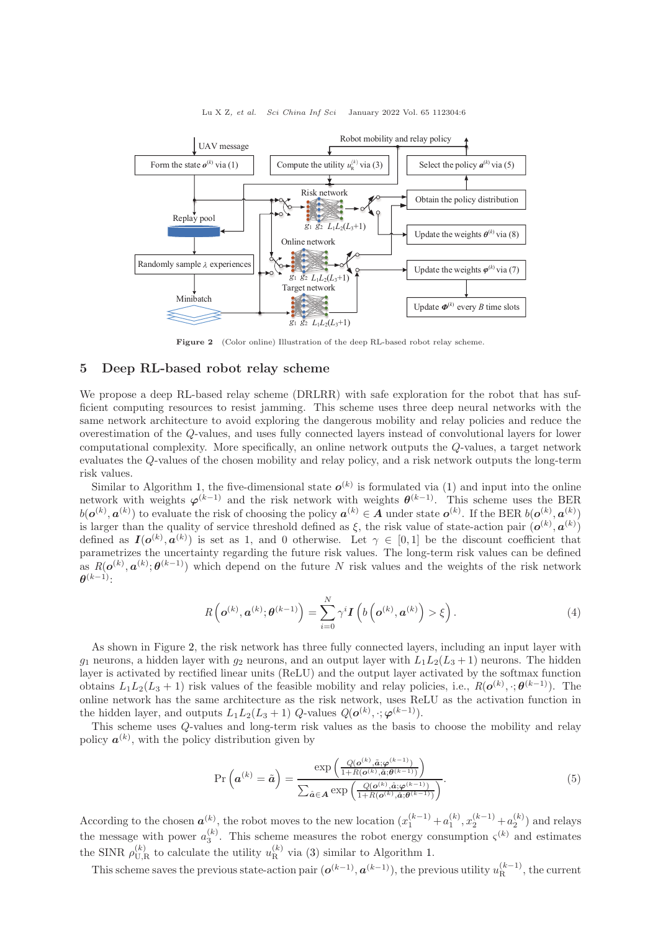<span id="page-5-0"></span>

#### Lu X Z, et al. Sci China Inf Sci January 2022 Vol. 65 112304:6

Figure 2 (Color online) Illustration of the deep RL-based robot relay scheme.

# 5 Deep RL-based robot relay scheme

We propose a deep RL-based relay scheme (DRLRR) with safe exploration for the robot that has sufficient computing resources to resist jamming. This scheme uses three deep neural networks with the same network architecture to avoid exploring the dangerous mobility and relay policies and reduce the overestimation of the Q-values, and uses fully connected layers instead of convolutional layers for lower computational complexity. More specifically, an online network outputs the Q-values, a target network evaluates the Q-values of the chosen mobility and relay policy, and a risk network outputs the long-term risk values.

Similar to Algorithm [1,](#page-4-0) the five-dimensional state  $o^{(k)}$  is formulated via [\(1\)](#page-4-1) and input into the online network with weights  $\varphi^{(k-1)}$  and the risk network with weights  $\theta^{(k-1)}$ . This scheme uses the BER  $b(\boldsymbol{o}^{(k)}, \boldsymbol{a}^{(k)})$  to evaluate the risk of choosing the policy  $\boldsymbol{a}^{(k)} \in A$  under state  $\boldsymbol{o}^{(k)}$ . If the BER  $b(\boldsymbol{o}^{(k)}, \boldsymbol{a}^{(k)})$ is larger than the quality of service threshold defined as  $\xi$ , the risk value of state-action pair  $(o^{(k)}, a^{(k)})$ defined as  $I(o^{(k)}, a^{(k)})$  is set as 1, and 0 otherwise. Let  $\gamma \in [0,1]$  be the discount coefficient that parametrizes the uncertainty regarding the future risk values. The long-term risk values can be defined as  $R(\boldsymbol{o}^{(k)}, \boldsymbol{a}^{(k)}; \boldsymbol{\theta}^{(k-1)})$  which depend on the future N risk values and the weights of the risk network  $\boldsymbol{\theta}^{(k-1)}$ :

$$
R\left(\boldsymbol{o}^{(k)}, \boldsymbol{a}^{(k)}; \boldsymbol{\theta}^{(k-1)}\right) = \sum_{i=0}^{N} \gamma^{i} \boldsymbol{I}\left(b\left(\boldsymbol{o}^{(k)}, \boldsymbol{a}^{(k)}\right) > \xi\right).
$$
\n(4)

As shown in Figure [2,](#page-5-0) the risk network has three fully connected layers, including an input layer with  $q_1$  neurons, a hidden layer with  $q_2$  neurons, and an output layer with  $L_1L_2(L_3 + 1)$  neurons. The hidden layer is activated by rectified linear units (ReLU) and the output layer activated by the softmax function obtains  $L_1L_2(L_3+1)$  risk values of the feasible mobility and relay policies, i.e.,  $R(\boldsymbol{o}^{(k)}, \cdot; \boldsymbol{\theta}^{(k-1)})$ . The online network has the same architecture as the risk network, uses ReLU as the activation function in the hidden layer, and outputs  $L_1L_2(L_3+1)$  Q-values  $Q(\boldsymbol{o}^{(k)}, \cdot; \boldsymbol{\varphi}^{(k-1)})$ .

This scheme uses Q-values and long-term risk values as the basis to choose the mobility and relay policy  $a^{(k)}$ , with the policy distribution given by

<span id="page-5-1"></span>
$$
\Pr\left(\boldsymbol{a}^{(k)} = \tilde{\boldsymbol{a}}\right) = \frac{\exp\left(\frac{Q(\boldsymbol{o}^{(k)}, \tilde{\boldsymbol{a}}; \boldsymbol{\varphi}^{(k-1)})}{1 + R(\boldsymbol{o}^{(k)}, \tilde{\boldsymbol{a}}; \boldsymbol{\vartheta}^{(k-1)})}\right)}{\sum_{\hat{\boldsymbol{a}} \in \mathcal{A}} \exp\left(\frac{Q(\boldsymbol{o}^{(k)}, \hat{\boldsymbol{a}}; \boldsymbol{\varphi}^{(k-1)})}{1 + R(\boldsymbol{o}^{(k)}, \hat{\boldsymbol{a}}; \boldsymbol{\vartheta}^{(k-1)})}\right)}.
$$
(5)

According to the chosen  $a^{(k)}$ , the robot moves to the new location  $(x_1^{(k-1)} + a_1^{(k)}, x_2^{(k-1)} + a_2^{(k)})$  and relays the message with power  $a_3^{(k)}$ . This scheme measures the robot energy consumption  $\zeta^{(k)}$  and estimates the SINR  $\rho_{\text{U,R}}^{(k)}$  to calculate the utility  $u_{\text{R}}^{(k)}$  via [\(3\)](#page-4-3) similar to Algorithm [1.](#page-4-0)

This scheme saves the previous state-action pair  $(o^{(k-1)}, a^{(k-1)})$ , the previous utility  $u_R^{(k-1)}$ , the current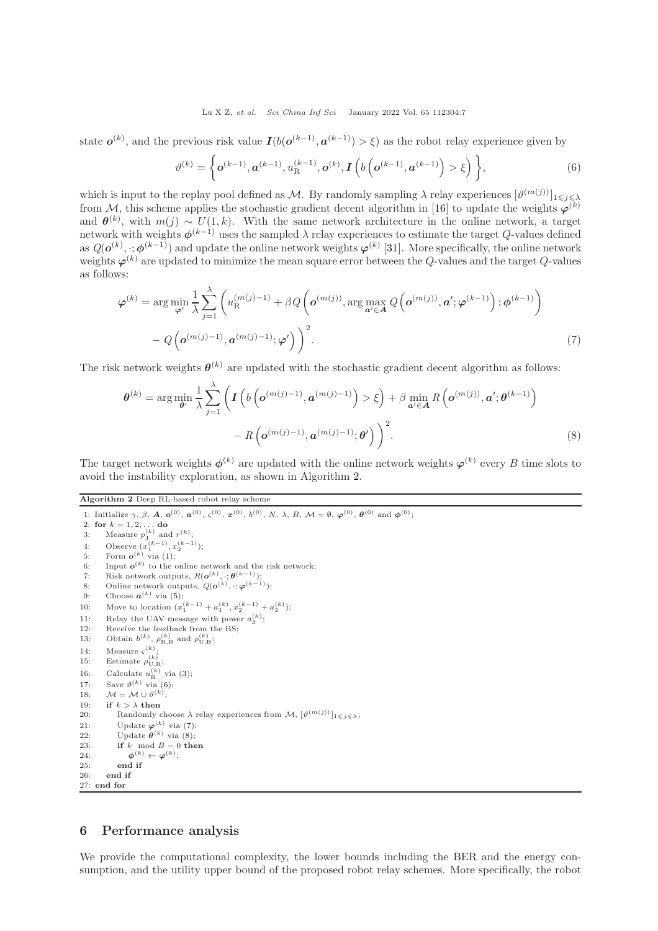#### <span id="page-6-1"></span>Lu X Z, et al. Sci China Inf Sci January 2022 Vol. 65 112304:7

state  $o^{(k)}$ , and the previous risk value  $I(b(o^{(k-1)}, a^{(k-1)}) > \xi)$  as the robot relay experience given by

<span id="page-6-2"></span>
$$
\vartheta^{(k)} = \left\{ \mathbf{o}^{(k-1)}, \mathbf{a}^{(k-1)}, u_{\mathcal{R}}^{(k-1)}, \mathbf{o}^{(k)}, \mathbf{I} \left( b \left( \mathbf{o}^{(k-1)}, \mathbf{a}^{(k-1)} \right) > \xi \right) \right\},\tag{6}
$$

which is input to the replay pool defined as M. By randomly sampling  $\lambda$  relay experiences  $[\vartheta^{(m(j))}]_{1\leqslant j\leqslant\lambda}$ from M, this scheme applies the stochastic gradient decent algorithm in [\[16\]](#page-12-15) to update the weights  $\varphi^{(k)}$ and  $\theta^{(k)}$ , with  $m(j) \sim U(1, k)$ . With the same network architecture in the online network, a target network with weights  $\phi^{(k-1)}$  uses the sampled  $\lambda$  relay experiences to estimate the target Q-values defined as  $Q(\bm{o}^{(k)},\cdot;\bm{\phi}^{(k-1)})$  and update the online network weights  $\bm{\varphi}^{(k)}$  [\[31\]](#page-12-30). More specifically, the online network weights  $\varphi^{(k)}$  are updated to minimize the mean square error between the Q-values and the target Q-values as follows:

$$
\varphi^{(k)} = \arg \min_{\varphi'} \frac{1}{\lambda} \sum_{j=1}^{\lambda} \left( u_{\mathcal{R}}^{(m(j)-1)} + \beta Q \left( \mathbf{o}^{(m(j))}, \arg \max_{\mathbf{a'} \in \mathcal{A}} Q \left( \mathbf{o}^{(m(j))}, \mathbf{a'}; \varphi^{(k-1)} \right); \phi^{(k-1)} \right) - Q \left( \mathbf{o}^{(m(j)-1)}, \mathbf{a}^{(m(j)-1)}; \varphi' \right) \right)^2.
$$
\n(7)

The risk network weights  $\theta^{(k)}$  are updated with the stochastic gradient decent algorithm as follows:

<span id="page-6-3"></span>
$$
\boldsymbol{\theta}^{(k)} = \arg\min_{\boldsymbol{\theta}'} \frac{1}{\lambda} \sum_{j=1}^{\lambda} \left( \boldsymbol{I} \left( b \left( \boldsymbol{o}^{(m(j)-1)}, \boldsymbol{a}^{(m(j)-1)} \right) > \xi \right) + \beta \min_{\boldsymbol{a'} \in \mathcal{A}} R \left( \boldsymbol{o}^{(m(j))}, \boldsymbol{a'}; \boldsymbol{\theta}^{(k-1)} \right) \right) - R \left( \boldsymbol{o}^{(m(j)-1)}, \boldsymbol{a}^{(m(j)-1)}; \boldsymbol{\theta'} \right) \right)^2.
$$
 (8)

The target network weights  $\phi^{(k)}$  are updated with the online network weights  $\varphi^{(k)}$  every B time slots to avoid the instability exploration, as shown in Algorithm [2.](#page-6-0)

<span id="page-6-0"></span>Algorithm 2 Deep RL-based robot relay scheme

1: Initialize  $\gamma$ ,  $\beta$ ,  $A$ ,  $\boldsymbol{o}^{(0)}$ ,  $\boldsymbol{a}^{(0)}$ ,  $\boldsymbol{\varsigma}^{(0)}$ ,  $\boldsymbol{x}^{(0)}$ ,  $b^{(0)}$ ,  $N$ ,  $\lambda$ ,  $B$ ,  $\mathcal{M} = \emptyset$ ,  $\boldsymbol{\varphi}^{(0)}$ ,  $\boldsymbol{\theta}^{(0)}$  and  $\boldsymbol{\phi}^{(0)}$ ; 2: for  $k = 1, 2, ...$  do 3: Measure  $p_j^{(k)}$  and  $r^{(k)}$ ; 4: Observe  $(x_1^{(k-1)}, x_2^{(k-1)})$ ; 5: Form  $o^{(k)}$  via [\(1\)](#page-4-1); 6: Input  $o^{(k)}$  to the online network and the risk network; 7: Risk network outputs,  $R(\boldsymbol{o}^{(k)}, \cdot; \boldsymbol{\theta}^{(k-1)});$ 8: Online network outputs,  $Q(\boldsymbol{o}^{(k)}, \cdot; \boldsymbol{\varphi}^{(k-1)});$ 9: Choose  $a^{(k)}$  via [\(5\)](#page-5-1); 10: Move to location  $(x_1^{(k-1)} + a_1^{(k)}, x_2^{(k-1)} + a_2^{(k)});$ 11: Relay the UAV message with power  $a_3^{(k)}$ ; 12: Receive the feedback from the BS; 13: Obtain  $b^{(k)}$ ,  $\rho_{\text{R},\text{B}}^{(k)}$  and  $\rho_{\text{U},\text{B}}^{(k)}$ ; 14: Measure  $\varsigma^{(k)}$ ; 15: Estimate  $\rho_{U,R}^{(k)}$ ; 16: Calculate  $u_{\rm R}^{(k)}$  via [\(3\)](#page-4-3); 17: Save  $\vartheta^{(k)}$  via [\(6\)](#page-6-1); 18:  $\mathcal{M} = \mathcal{M} \cup \vartheta^{(k)}$ ; 19: if  $k > \lambda$  then 20: Randomly choose  $\lambda$  relay experiences from  $\mathcal{M}, [\vartheta^{(m(j))}]_{1 \leqslant j \leqslant \lambda};$ 21: Update  $\varphi^{(k)}$  via [\(7\)](#page-6-2); 22: Update  $\boldsymbol{\theta}^{(k)}$  via [\(8\)](#page-6-3); 23: if k mod  $B = 0$  then 24:  $\phi^{(k)} \leftarrow \varphi^{(k)}$ ; 25: end if 26: end if  $27<sub>1</sub>$  end for

# 6 Performance analysis

We provide the computational complexity, the lower bounds including the BER and the energy consumption, and the utility upper bound of the proposed robot relay schemes. More specifically, the robot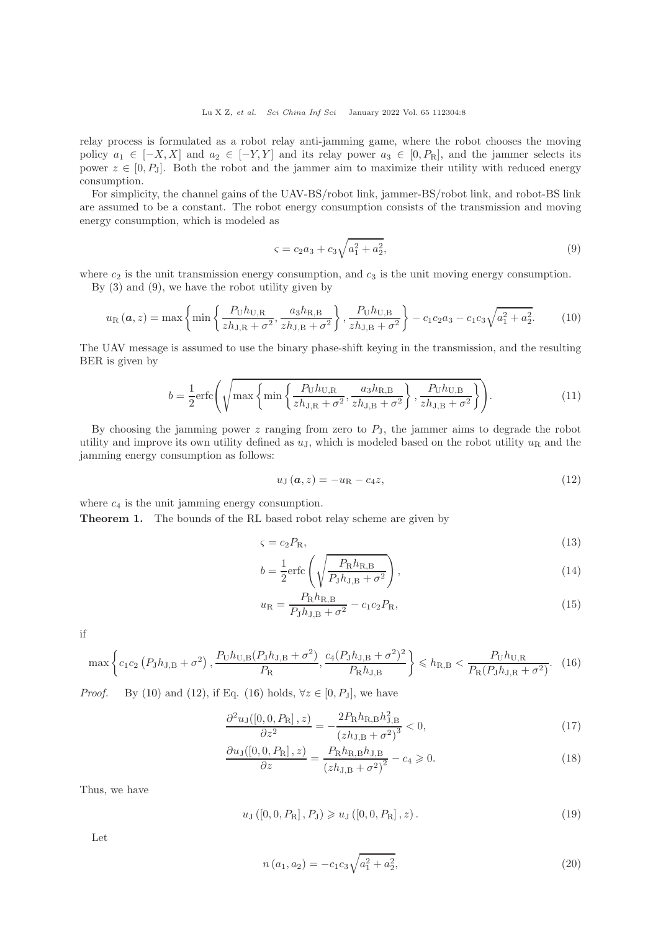relay process is formulated as a robot relay anti-jamming game, where the robot chooses the moving policy  $a_1 \in [-X, X]$  and  $a_2 \in [-Y, Y]$  and its relay power  $a_3 \in [0, P_R]$ , and the jammer selects its power  $z \in [0, P<sub>J</sub>]$ . Both the robot and the jammer aim to maximize their utility with reduced energy consumption.

For simplicity, the channel gains of the UAV-BS/robot link, jammer-BS/robot link, and robot-BS link are assumed to be a constant. The robot energy consumption consists of the transmission and moving energy consumption, which is modeled as

<span id="page-7-1"></span><span id="page-7-0"></span>
$$
\varsigma = c_2 a_3 + c_3 \sqrt{a_1^2 + a_2^2},\tag{9}
$$

where  $c_2$  is the unit transmission energy consumption, and  $c_3$  is the unit moving energy consumption. By [\(3\)](#page-4-3) and [\(9\)](#page-7-0), we have the robot utility given by

$$
u_{\rm R}(\mathbf{a},z) = \max\left\{\min\left\{\frac{P_{\rm U}h_{\rm U,R}}{zh_{\rm J,R} + \sigma^2}, \frac{a_3h_{\rm R,B}}{zh_{\rm J,B} + \sigma^2}\right\}, \frac{P_{\rm U}h_{\rm U,B}}{zh_{\rm J,B} + \sigma^2}\right\} - c_1c_2a_3 - c_1c_3\sqrt{a_1^2 + a_2^2}.\tag{10}
$$

The UAV message is assumed to use the binary phase-shift keying in the transmission, and the resulting BER is given by

$$
b = \frac{1}{2} \text{erfc}\left(\sqrt{\max\left\{\min\left\{\frac{P_{\text{U}}h_{\text{U,R}}}{zh_{\text{J,R}} + \sigma^2}, \frac{a_3h_{\text{R,B}}}{zh_{\text{J,B}} + \sigma^2}\right\}, \frac{P_{\text{U}}h_{\text{U,B}}}{zh_{\text{J,B}} + \sigma^2}\right\}}\right). \tag{11}
$$

By choosing the jamming power  $z$  ranging from zero to  $P_J$ , the jammer aims to degrade the robot utility and improve its own utility defined as  $u<sub>J</sub>$ , which is modeled based on the robot utility  $u<sub>R</sub>$  and the jamming energy consumption as follows:

<span id="page-7-9"></span><span id="page-7-7"></span><span id="page-7-6"></span><span id="page-7-2"></span>
$$
u_{\mathrm{J}}\left(\mathbf{a},z\right)=-u_{\mathrm{R}}-c_{4}z,\tag{12}
$$

where  $c_4$  is the unit jamming energy consumption.

Theorem 1. The bounds of the RL based robot relay scheme are given by

$$
\varsigma = c_2 P_{\rm R},\tag{13}
$$

$$
b = \frac{1}{2} \text{erfc}\left(\sqrt{\frac{P_{\text{R}} h_{\text{R,B}}}{P_{\text{J}} h_{\text{J,B}} + \sigma^2}}\right),\tag{14}
$$

<span id="page-7-8"></span><span id="page-7-3"></span>
$$
u_{\rm R} = \frac{P_{\rm R} h_{\rm R,B}}{P_{\rm J} h_{\rm J,B} + \sigma^2} - c_1 c_2 P_{\rm R},\tag{15}
$$

if

$$
\max\left\{c_1c_2\left(P_Jh_{\rm J,B}+\sigma^2\right),\frac{P_{\rm U}h_{\rm U,B}(P_{\rm J}h_{\rm J,B}+\sigma^2)}{P_{\rm R}},\frac{c_4(P_{\rm J}h_{\rm J,B}+\sigma^2)^2}{P_{\rm R}h_{\rm J,B}}\right\}\leqslant h_{\rm R,B}\leqslant\frac{P_{\rm U}h_{\rm U,R}}{P_{\rm R}(P_{\rm J}h_{\rm J,R}+\sigma^2)}.\tag{16}
$$

*Proof.* By [\(10\)](#page-7-1) and [\(12\)](#page-7-2), if Eq. [\(16\)](#page-7-3) holds,  $\forall z \in [0, P_J]$ , we have

$$
\frac{\partial^2 u_J([0,0,R_{\rm R}],z)}{\partial z^2} = -\frac{2P_{\rm R}h_{\rm R,B}h_{\rm J,B}^2}{(zh_{\rm J,B} + \sigma^2)^3} < 0,\tag{17}
$$

$$
\frac{\partial u_{\rm J}([0,0,P_{\rm R}],z)}{\partial z} = \frac{P_{\rm R}h_{\rm R,B}h_{\rm J,B}}{(zh_{\rm J,B} + \sigma^2)^2} - c_4 \geq 0. \tag{18}
$$

Thus, we have

$$
u_{\mathcal{J}}([0,0,P_{\mathcal{R}}], P_{\mathcal{J}}) \geqslant u_{\mathcal{J}}([0,0,P_{\mathcal{R}}], z). \tag{19}
$$

Let

<span id="page-7-5"></span><span id="page-7-4"></span>
$$
n(a_1, a_2) = -c_1 c_3 \sqrt{a_1^2 + a_2^2}, \tag{20}
$$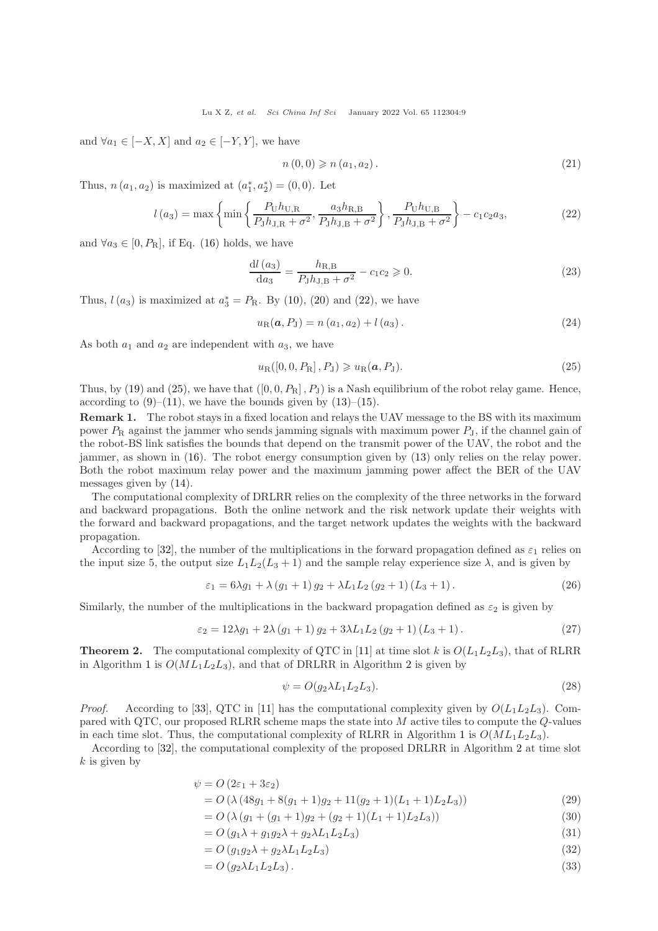and  $\forall a_1 \in [-X, X]$  and  $a_2 \in [-Y, Y]$ , we have

<span id="page-8-0"></span>
$$
n(0,0) \geqslant n(a_1, a_2). \tag{21}
$$

Thus,  $n(a_1, a_2)$  is maximized at  $(a_1^*, a_2^*) = (0, 0)$ . Let

$$
l(a_3) = \max\left\{\min\left\{\frac{P_{\rm U}h_{\rm U,R}}{P_{\rm J}h_{\rm J,R} + \sigma^2}, \frac{a_3h_{\rm R,B}}{P_{\rm J}h_{\rm J,B} + \sigma^2}\right\}, \frac{P_{\rm U}h_{\rm U,B}}{P_{\rm J}h_{\rm J,B} + \sigma^2}\right\} - c_1c_2a_3,
$$
\n(22)

and  $\forall a_3 \in [0, P_R]$ , if Eq. [\(16\)](#page-7-3) holds, we have

$$
\frac{dl(a_3)}{da_3} = \frac{h_{R,B}}{P_J h_{J,B} + \sigma^2} - c_1 c_2 \geqslant 0.
$$
\n(23)

Thus,  $l(a_3)$  is maximized at  $a_3^* = P_R$ . By [\(10\)](#page-7-1), [\(20\)](#page-7-4) and [\(22\)](#page-8-0), we have

$$
u_{\rm R}(\mathbf{a}, P_{\rm J}) = n(a_1, a_2) + l(a_3). \tag{24}
$$

As both  $a_1$  and  $a_2$  are independent with  $a_3$ , we have

<span id="page-8-1"></span>
$$
u_{\rm R}([0, 0, P_{\rm R}], P_{\rm J}) \geqslant u_{\rm R}(\mathbf{a}, P_{\rm J}). \tag{25}
$$

Thus, by [\(19\)](#page-7-5) and [\(25\)](#page-8-1), we have that  $([0, 0, P<sub>R</sub>], P<sub>J</sub>)$  is a Nash equilibrium of the robot relay game. Hence, according to  $(9)$ – $(11)$ , we have the bounds given by  $(13)$ – $(15)$ .

Remark 1. The robot stays in a fixed location and relays the UAV message to the BS with its maximum power  $P_R$  against the jammer who sends jamming signals with maximum power  $P_I$ , if the channel gain of the robot-BS link satisfies the bounds that depend on the transmit power of the UAV, the robot and the jammer, as shown in [\(16\)](#page-7-3). The robot energy consumption given by [\(13\)](#page-7-7) only relies on the relay power. Both the robot maximum relay power and the maximum jamming power affect the BER of the UAV messages given by [\(14\)](#page-7-9).

The computational complexity of DRLRR relies on the complexity of the three networks in the forward and backward propagations. Both the online network and the risk network update their weights with the forward and backward propagations, and the target network updates the weights with the backward propagation.

According to [\[32\]](#page-12-31), the number of the multiplications in the forward propagation defined as  $\varepsilon_1$  relies on the input size 5, the output size  $L_1L_2(L_3 + 1)$  and the sample relay experience size  $\lambda$ , and is given by

$$
\varepsilon_1 = 6\lambda g_1 + \lambda (g_1 + 1) g_2 + \lambda L_1 L_2 (g_2 + 1) (L_3 + 1). \tag{26}
$$

Similarly, the number of the multiplications in the backward propagation defined as  $\varepsilon_2$  is given by

$$
\varepsilon_2 = 12\lambda g_1 + 2\lambda (g_1 + 1) g_2 + 3\lambda L_1 L_2 (g_2 + 1) (L_3 + 1).
$$
 (27)

**Theorem 2.** The computational complexity of QTC in [\[11\]](#page-12-10) at time slot k is  $O(L_1L_2L_3)$ , that of RLRR in Algorithm [1](#page-4-0) is  $O(ML_1L_2L_3)$  $O(ML_1L_2L_3)$  $O(ML_1L_2L_3)$ , and that of DRLRR in Algorithm 2 is given by

$$
\psi = O(g_2 \lambda L_1 L_2 L_3). \tag{28}
$$

*Proof.* According to [\[33\]](#page-12-32), QTC in [\[11\]](#page-12-10) has the computational complexity given by  $O(L_1L_2L_3)$ . Compared with QTC, our proposed RLRR scheme maps the state into M active tiles to compute the Q-values in each time slot. Thus, the computational complexity of RLRR in Algorithm [1](#page-4-0) is  $O(ML_1L_2L_3)$ .

According to [\[32\]](#page-12-31), the computational complexity of the proposed DRLRR in Algorithm [2](#page-6-0) at time slot  $k$  is given by

$$
\psi = O(2\varepsilon_1 + 3\varepsilon_2) \tag{20}
$$

$$
= O\left(\lambda \left(48g_1 + 8(g_1 + 1)g_2 + 11(g_2 + 1)(L_1 + 1)L_2L_3\right)\right)
$$
\n
$$
= O\left(\lambda \left(g_1 + \left(g_2 + 1\right)g_1 + \left(g_1 + 1\right)\left(I_1 + 1\right)L_1\right)\right)
$$
\n(29)

$$
= O\left(\lambda \left(g_1 + (g_1 + 1)g_2 + (g_2 + 1)(L_1 + 1)L_2L_3\right)\right) \tag{30}
$$

$$
= O(g_1\lambda + g_1g_2\lambda + g_2\lambda L_1L_2L_3)
$$
\n(31)

$$
=O\left(g_1g_2\lambda + g_2\lambda L_1L_2L_3\right) \tag{32}
$$

$$
=O\left(g_2\lambda L_1 L_2 L_3\right). \tag{33}
$$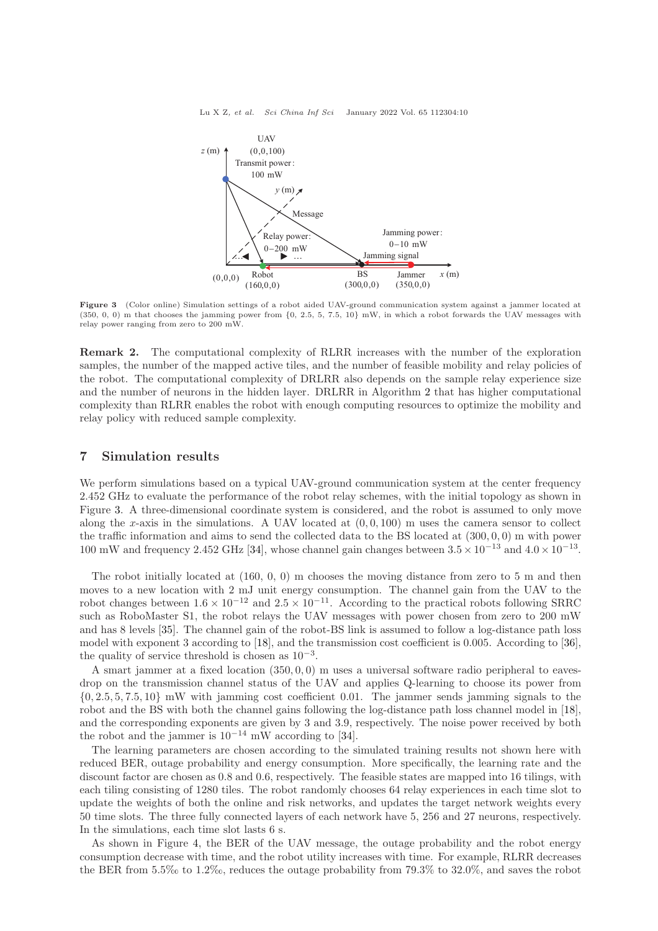Lu X Z, et al. Sci China Inf Sci January 2022 Vol. 65 112304:10

<span id="page-9-0"></span>

Figure 3 (Color online) Simulation settings of a robot aided UAV-ground communication system against a jammer located at (350, 0, 0) m that chooses the jamming power from {0, 2.5, 5, 7.5, 10} mW, in which a robot forwards the UAV messages with relay power ranging from zero to 200 mW.

Remark 2. The computational complexity of RLRR increases with the number of the exploration samples, the number of the mapped active tiles, and the number of feasible mobility and relay policies of the robot. The computational complexity of DRLRR also depends on the sample relay experience size and the number of neurons in the hidden layer. DRLRR in Algorithm [2](#page-6-0) that has higher computational complexity than RLRR enables the robot with enough computing resources to optimize the mobility and relay policy with reduced sample complexity.

# 7 Simulation results

We perform simulations based on a typical UAV-ground communication system at the center frequency 2.452 GHz to evaluate the performance of the robot relay schemes, with the initial topology as shown in Figure [3.](#page-9-0) A three-dimensional coordinate system is considered, and the robot is assumed to only move along the x-axis in the simulations. A UAV located at  $(0, 0, 100)$  m uses the camera sensor to collect the traffic information and aims to send the collected data to the BS located at  $(300, 0, 0)$  m with power 100 mW and frequency 2.452 GHz [\[34\]](#page-12-33), whose channel gain changes between  $3.5 \times 10^{-13}$  and  $4.0 \times 10^{-13}$ .

The robot initially located at (160, 0, 0) m chooses the moving distance from zero to 5 m and then moves to a new location with 2 mJ unit energy consumption. The channel gain from the UAV to the robot changes between  $1.6 \times 10^{-12}$  and  $2.5 \times 10^{-11}$ . According to the practical robots following SRRC such as RoboMaster S1, the robot relays the UAV messages with power chosen from zero to 200 mW and has 8 levels [\[35\]](#page-12-34). The channel gain of the robot-BS link is assumed to follow a log-distance path loss model with exponent 3 according to [\[18\]](#page-12-17), and the transmission cost coefficient is 0.005. According to [\[36\]](#page-12-35), the quality of service threshold is chosen as  $10^{-3}$ .

A smart jammer at a fixed location (350, 0, 0) m uses a universal software radio peripheral to eavesdrop on the transmission channel status of the UAV and applies Q-learning to choose its power from  $\{0, 2.5, 5, 7.5, 10\}$  mW with jamming cost coefficient 0.01. The jammer sends jamming signals to the robot and the BS with both the channel gains following the log-distance path loss channel model in [\[18\]](#page-12-17), and the corresponding exponents are given by 3 and 3.9, respectively. The noise power received by both the robot and the jammer is  $10^{-14}$  mW according to [\[34\]](#page-12-33).

The learning parameters are chosen according to the simulated training results not shown here with reduced BER, outage probability and energy consumption. More specifically, the learning rate and the discount factor are chosen as 0.8 and 0.6, respectively. The feasible states are mapped into 16 tilings, with each tiling consisting of 1280 tiles. The robot randomly chooses 64 relay experiences in each time slot to update the weights of both the online and risk networks, and updates the target network weights every 50 time slots. The three fully connected layers of each network have 5, 256 and 27 neurons, respectively. In the simulations, each time slot lasts 6 s.

As shown in Figure [4,](#page-10-0) the BER of the UAV message, the outage probability and the robot energy consumption decrease with time, and the robot utility increases with time. For example, RLRR decreases the BER from 5.5‰ to 1.2‰, reduces the outage probability from 79.3% to 32.0%, and saves the robot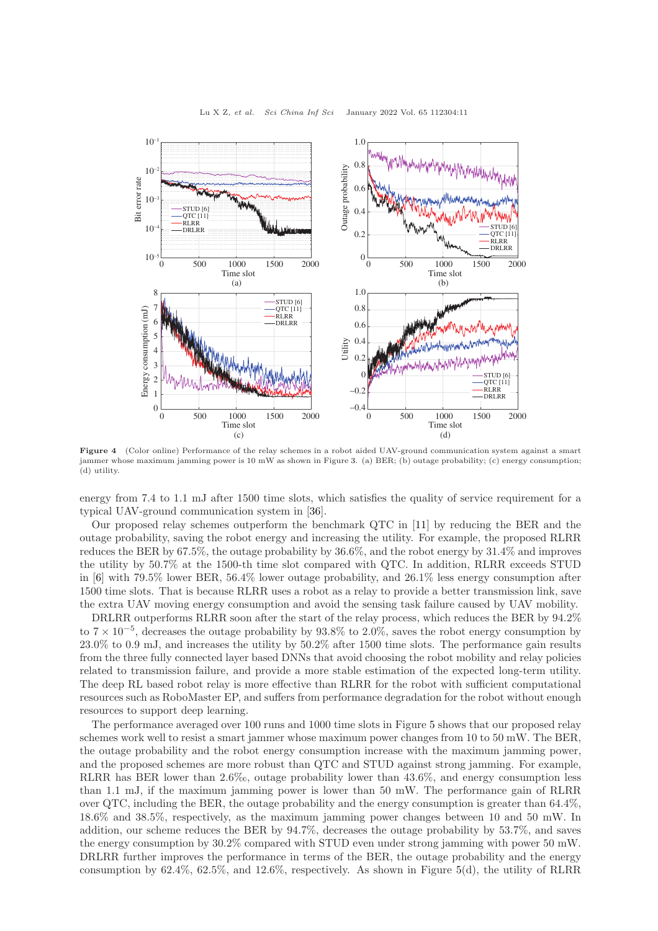<span id="page-10-0"></span>

Lu X Z, et al. Sci China Inf Sci January 2022 Vol. 65 112304:11

Figure 4 (Color online) Performance of the relay schemes in a robot aided UAV-ground communication system against a smart jammer whose maximum jamming power is 10 mW as shown in Figure [3.](#page-9-0) (a) BER; (b) outage probability; (c) energy consumption; (d) utility.

energy from 7.4 to 1.1 mJ after 1500 time slots, which satisfies the quality of service requirement for a typical UAV-ground communication system in [\[36\]](#page-12-35).

Our proposed relay schemes outperform the benchmark QTC in [\[11\]](#page-12-10) by reducing the BER and the outage probability, saving the robot energy and increasing the utility. For example, the proposed RLRR reduces the BER by 67.5%, the outage probability by 36.6%, and the robot energy by 31.4% and improves the utility by 50.7% at the 1500-th time slot compared with QTC. In addition, RLRR exceeds STUD in [\[6\]](#page-12-5) with 79.5% lower BER, 56.4% lower outage probability, and 26.1% less energy consumption after 1500 time slots. That is because RLRR uses a robot as a relay to provide a better transmission link, save the extra UAV moving energy consumption and avoid the sensing task failure caused by UAV mobility.

DRLRR outperforms RLRR soon after the start of the relay process, which reduces the BER by 94.2% to  $7 \times 10^{-5}$ , decreases the outage probability by 93.8% to 2.0%, saves the robot energy consumption by 23.0% to 0.9 mJ, and increases the utility by 50.2% after 1500 time slots. The performance gain results from the three fully connected layer based DNNs that avoid choosing the robot mobility and relay policies related to transmission failure, and provide a more stable estimation of the expected long-term utility. The deep RL based robot relay is more effective than RLRR for the robot with sufficient computational resources such as RoboMaster EP, and suffers from performance degradation for the robot without enough resources to support deep learning.

The performance averaged over 100 runs and 1000 time slots in Figure [5](#page-11-1) shows that our proposed relay schemes work well to resist a smart jammer whose maximum power changes from 10 to 50 mW. The BER, the outage probability and the robot energy consumption increase with the maximum jamming power, and the proposed schemes are more robust than QTC and STUD against strong jamming. For example, RLRR has BER lower than 2.6‰, outage probability lower than 43.6%, and energy consumption less than 1.1 mJ, if the maximum jamming power is lower than 50 mW. The performance gain of RLRR over QTC, including the BER, the outage probability and the energy consumption is greater than 64.4%, 18.6% and 38.5%, respectively, as the maximum jamming power changes between 10 and 50 mW. In addition, our scheme reduces the BER by 94.7%, decreases the outage probability by 53.7%, and saves the energy consumption by 30.2% compared with STUD even under strong jamming with power 50 mW. DRLRR further improves the performance in terms of the BER, the outage probability and the energy consumption by 62.4%, 62.5%, and 12.6%, respectively. As shown in Figure [5\(](#page-11-1)d), the utility of RLRR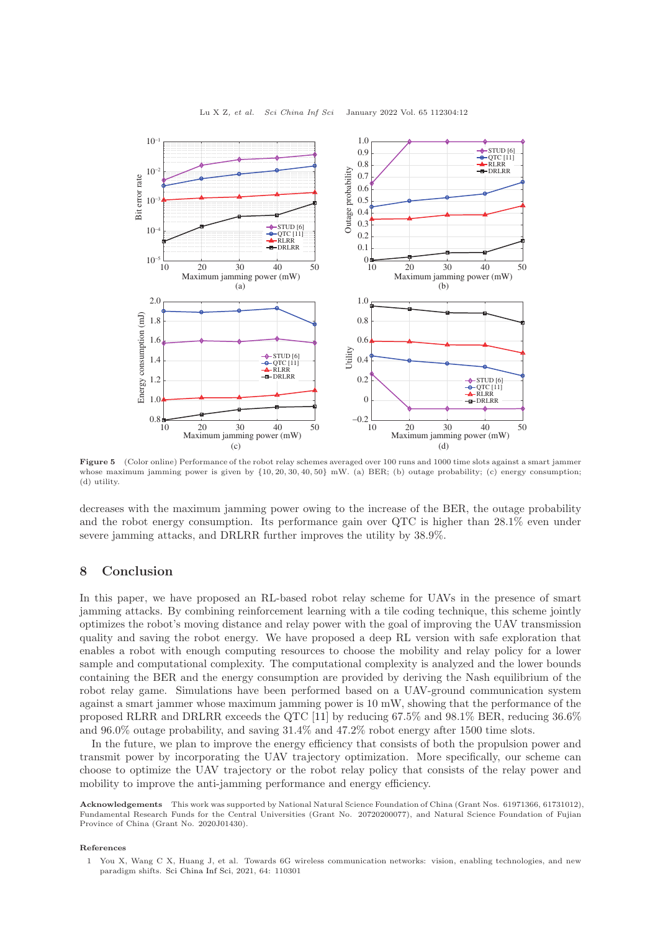<span id="page-11-1"></span>

Figure 5 (Color online) Performance of the robot relay schemes averaged over 100 runs and 1000 time slots against a smart jammer whose maximum jamming power is given by {10, 20, 30, 40, 50} mW. (a) BER; (b) outage probability; (c) energy consumption; (d) utility.

decreases with the maximum jamming power owing to the increase of the BER, the outage probability and the robot energy consumption. Its performance gain over QTC is higher than 28.1% even under severe jamming attacks, and DRLRR further improves the utility by 38.9%.

### 8 Conclusion

In this paper, we have proposed an RL-based robot relay scheme for UAVs in the presence of smart jamming attacks. By combining reinforcement learning with a tile coding technique, this scheme jointly optimizes the robot's moving distance and relay power with the goal of improving the UAV transmission quality and saving the robot energy. We have proposed a deep RL version with safe exploration that enables a robot with enough computing resources to choose the mobility and relay policy for a lower sample and computational complexity. The computational complexity is analyzed and the lower bounds containing the BER and the energy consumption are provided by deriving the Nash equilibrium of the robot relay game. Simulations have been performed based on a UAV-ground communication system against a smart jammer whose maximum jamming power is 10 mW, showing that the performance of the proposed RLRR and DRLRR exceeds the QTC [\[11\]](#page-12-10) by reducing 67.5% and 98.1% BER, reducing 36.6% and 96.0% outage probability, and saving 31.4% and 47.2% robot energy after 1500 time slots.

In the future, we plan to improve the energy efficiency that consists of both the propulsion power and transmit power by incorporating the UAV trajectory optimization. More specifically, our scheme can choose to optimize the UAV trajectory or the robot relay policy that consists of the relay power and mobility to improve the anti-jamming performance and energy efficiency.

Acknowledgements This work was supported by National Natural Science Foundation of China (Grant Nos. 61971366, 61731012), Fundamental Research Funds for the Central Universities (Grant No. 20720200077), and Natural Science Foundation of Fujian Province of China (Grant No. 2020J01430).

#### <span id="page-11-0"></span>References

1 You X, Wang C X, Huang J, et al. Towards 6G wireless communication networks: vision, enabling technologies, and new paradigm shifts. [Sci China Inf Sci,](https://doi.org/10.1007/s11432-020-2955-6) 2021, 64: 110301